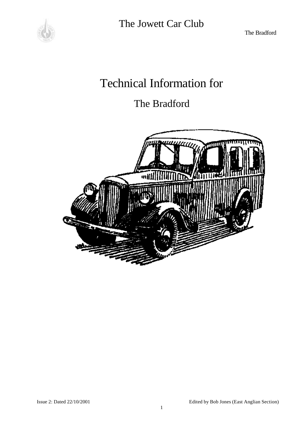

The Bradford

# Technical Information for

# The Bradford

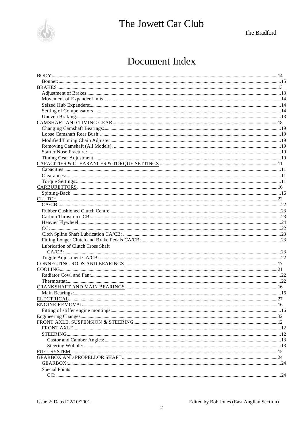

The Bradford

# Document Index

| Lubrication of Clutch Cross Shaft |  |
|-----------------------------------|--|
|                                   |  |
|                                   |  |
|                                   |  |
|                                   |  |
|                                   |  |
|                                   |  |
|                                   |  |
|                                   |  |
|                                   |  |
|                                   |  |
|                                   |  |
|                                   |  |
|                                   |  |
|                                   |  |
|                                   |  |
|                                   |  |
|                                   |  |
| <b>FUEL SYSTEM</b>                |  |
|                                   |  |
|                                   |  |
| <b>Special Points</b>             |  |
|                                   |  |
|                                   |  |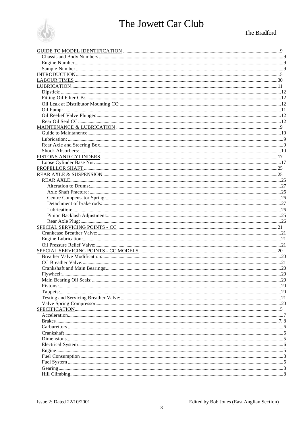

### The Bradford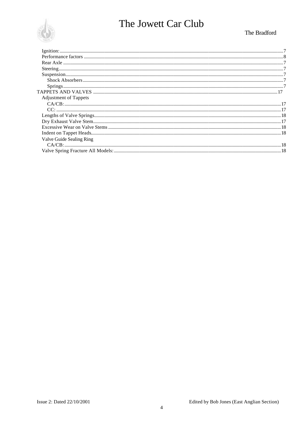

### The Bradford

| <b>Adjustment of Tappets</b> |  |
|------------------------------|--|
|                              |  |
|                              |  |
|                              |  |
|                              |  |
|                              |  |
|                              |  |
| Valve Guide Sealing Ring     |  |
|                              |  |
|                              |  |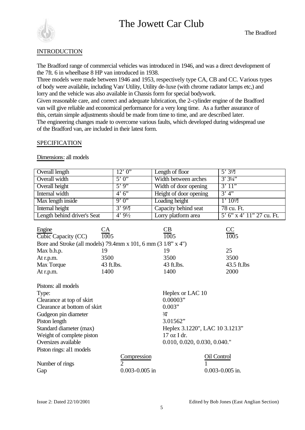

#### **INTRODUCTION**

The Bradford range of commercial vehicles was introduced in 1946, and was a direct development of the 7ft. 6 in wheelbase 8 HP van introduced in 1938.

Three models were made between 1946 and 1953, respectively type CA, CB and CC. Various types of body were available, including Van/ Utility, Utility de-luxe (with chrome radiator lamps etc,) and lorry and the vehicle was also available in Chassis form for special bodywork.

Given reasonable care, and correct and adequate lubrication, the 2-cylinder engine of the Bradford van will give reliable and economical performance for a very long time. As a further assurance of this, certain simple adjustments should be made from time to time, and are described later. The engineering changes made to overcome various faults, which developed during widespread use of the Bradford van, are included in their latest form.

#### SPECIFICATION

Dimensions: all models

| <b>Overall length</b>                                                   |                          | 12'0'                         | Length of floor                | $5'3\frac{1}{2}$          |  |
|-------------------------------------------------------------------------|--------------------------|-------------------------------|--------------------------------|---------------------------|--|
| Overall width                                                           |                          | 5'0'                          | Width between arches           | 3'34''                    |  |
| Overall height                                                          |                          | 5'9'                          | Width of door opening          | 3'11"                     |  |
| Internal width                                                          |                          | 4'6'                          | Height of door opening         | 3'4'                      |  |
| Max length inside                                                       |                          | 9'0''                         | Loading height                 | $1'$ $10\frac{1}{2}$      |  |
| Internal height                                                         |                          | $3'9\frac{1}{2}$              | Capacity behind seat           | 78 cu. Ft.                |  |
| Length behind driver's Seat                                             |                          | $4'9\frac{1}{2}$              | Lorry platform area            | 5' 6" x 4' 11" 27 cu. Ft. |  |
|                                                                         |                          |                               |                                |                           |  |
| Engine                                                                  |                          |                               |                                |                           |  |
| Cubic Capacity (CC)                                                     | $\frac{\text{CA}}{1005}$ |                               | $\frac{\text{CB}}{1005}$       | $\frac{CC}{1005}$         |  |
| Bore and Stroke (all models) 79.4mm x 101, 6 mm $(3\frac{1}{8}$ " x 4") |                          |                               |                                |                           |  |
| Max b.h.p.                                                              | 19                       |                               | 19                             | 25                        |  |
| At r.p.m.                                                               | 3500                     |                               | 3500                           | 3500                      |  |
| Max Torque                                                              | 43 ft.lbs.               |                               | 43 ft.lbs.                     | 43.5 ft.lbs               |  |
| At r.p.m.                                                               | 1400                     |                               | 1400                           | 2000                      |  |
| Pistons: all models                                                     |                          |                               |                                |                           |  |
| Type:                                                                   |                          |                               | Heplex or LAC 10               |                           |  |
| Clearance at top of skirt                                               |                          |                               | 0.00003"                       |                           |  |
| Clearance at bottom of skirt                                            |                          |                               | 0.003"                         |                           |  |
| Gudgeon pin diameter                                                    |                          |                               | 3/2                            |                           |  |
| Piston length                                                           |                          |                               | 3.01562"                       |                           |  |
| Standard diameter (max)                                                 |                          |                               | Heplex 3.1220", LAC 10 3.1213" |                           |  |
| Weight of complete piston                                               |                          |                               | 17 oz I dr.                    |                           |  |
| Oversizes available                                                     |                          |                               | 0.010, 0.020, 0.030, 0.040."   |                           |  |
| Piston rings: al1 models                                                |                          |                               |                                |                           |  |
|                                                                         |                          |                               |                                | Oil Control               |  |
|                                                                         |                          | Compression<br>$\overline{2}$ |                                |                           |  |
| Number of rings<br>Gap                                                  |                          | $0.003 - 0.005$ in            |                                | $0.003 - 0.005$ in.       |  |
|                                                                         |                          |                               |                                |                           |  |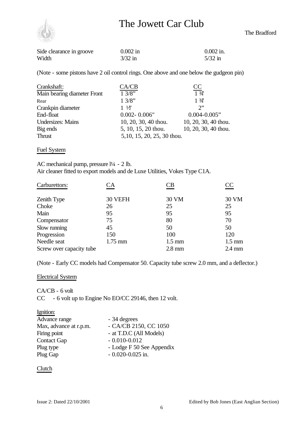

| Side clearance in groove | $0.002$ in | $0.002$ in. |
|--------------------------|------------|-------------|
| Width                    | $3/32$ in  | $5/32$ in   |

(Note - some pistons have 2 oil control rings. One above and one below the gudgeon pin)

| Crankshaft:                 | CA/CB                      | CC                   |
|-----------------------------|----------------------------|----------------------|
| Main bearing diameter Front | 13/8"                      | $\frac{1}{3}$        |
| Rear                        | 13/8"                      | $1 \frac{3}{4}$      |
| Crankpin diameter           | $1\frac{1}{2}$             | $\gamma$ "           |
| End-float                   | $0.002 - 0.006$ "          | $0.004 - 0.005$ "    |
| <b>Undersizes: Mains</b>    | 10, 20, 30, 40 thou.       | 10, 20, 30, 40 thou. |
| Big ends                    | 5, 10, 15, 20 thou.        | 10, 20, 30, 40 thou. |
| <b>Thrust</b>               | 5,10, 15, 20, 25, 30 thou. |                      |
|                             |                            |                      |

### Fuel System

AC mechanical pump, pressure  $1/4$  - 2 lb. Air cleaner fitted to export models and de Luxe Utilities, Vokes Type C1A.

| Carburettors:            | $\mathbb{C}\mathrm{A}$ | `B               | $\overline{\text{CC}}$ |
|--------------------------|------------------------|------------------|------------------------|
| Zenith Type              | 30 VEFH                | 30 VM            | 30 VM                  |
| Choke                    | 26                     | 25               | 25                     |
| Main                     | 95                     | 95               | 95                     |
| Compensator              | 75                     | 80               | 70                     |
| Slow running             | 45                     | 50               | 50                     |
| Progression              | 150                    | 100              | 120                    |
| Needle seat              | $1.75$ mm              | $1.5 \text{ mm}$ | $1.5 \text{ mm}$       |
| Screw over capacity tube |                        | $2.8$ mm         | $2.4 \text{ mm}$       |

(Note - Early CC models had Compensator 50. Capacity tube screw 2.0 mm, and a deflector.)

#### Electrical System

CA/CB - 6 volt CC - 6 volt up to Engine No EO/CC 29146, then 12 volt.

| Ignition:              |                           |
|------------------------|---------------------------|
| Advance range          | - 34 degrees              |
| Max, advance at r.p.m. | - CA/CB 2150, CC 1050     |
| Firing point           | - at T.D.C (All Models)   |
| <b>Contact Gap</b>     | $-0.010 - 0.012$          |
| Plug type              | - Lodge F 50 See Appendix |
| Plug Gap               | $-0.020 - 0.025$ in.      |

#### Clutch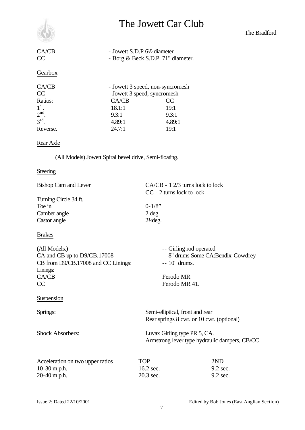

| CA/CB | - Jowett S.D.P 6 <sup>1/2</sup> diameter |
|-------|------------------------------------------|
| CC    | - Borg & Beck S.D.P. 71" diameter.       |

### **Gearbox**

| CA/CB           |        | - Jowett 3 speed, non-syncromesh |  |  |
|-----------------|--------|----------------------------------|--|--|
| CC              |        | - Jowett 3 speed, syncromesh     |  |  |
| Ratios:         | CA/CB  | CC                               |  |  |
| 1 <sup>st</sup> | 18.1:1 | 19:1                             |  |  |
| 2 <sup>nd</sup> | 9.3:1  | 9.3:1                            |  |  |
| 3 <sup>rd</sup> | 4.89:1 | 4.89:1                           |  |  |
| Reverse.        | 24.7:1 | 19:1                             |  |  |

### Rear Axle

(All Models) Jowett Spiral bevel drive, Semi-floating.

### **Steering**

| Bishop Cam and Lever                                                                                           | $CA/CB - 12/3$ turns lock to lock<br>CC - 2 turns lock to lock |                                                               |  |  |
|----------------------------------------------------------------------------------------------------------------|----------------------------------------------------------------|---------------------------------------------------------------|--|--|
| Turning Circle 34 ft.<br>Toe in<br>Camber angle<br>Castor angle                                                | $0 - 1/8$ "<br>$2$ deg.<br>$2\frac{1}{\text{deg.}}$            |                                                               |  |  |
| <b>Brakes</b>                                                                                                  |                                                                |                                                               |  |  |
| (All Models.)<br>CA and CB up to D9/CB.17008<br>CB from D9/CB.17008 and CC Linings:<br>Linings:<br>CA/CB<br>CC | $-10$ " drums.<br>Ferodo MR<br>Ferodo MR 41.                   | -- Girling rod operated<br>-- 8" drums Some CA:Bendix-Cowdrey |  |  |
| Suspension                                                                                                     |                                                                |                                                               |  |  |
| Springs:                                                                                                       | Semi-elliptical, front and rear                                | Rear springs 8 cwt. or 10 cwt. (optional)                     |  |  |
| <b>Shock Absorbers:</b>                                                                                        | Luvax Girling type PR 5, CA.                                   | Armstrong lever type hydraulic dampers, CB/CC                 |  |  |
| Acceleration on two upper ratios<br>$10-30$ m.p.h.<br>20-40 m.p.h.                                             | <b>TOP</b><br>16.2 sec.<br>20.3 sec.                           | 2ND<br>9.2 sec.<br>9.2 sec.                                   |  |  |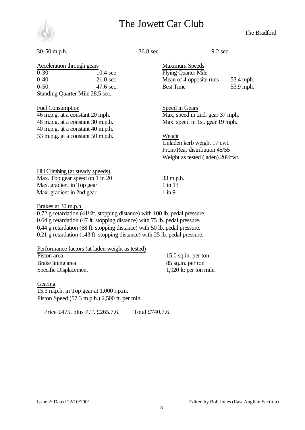

#### The Bradford

#### 30-50 m.p.h. 36.8 sec. 9.2 sec.

Acceleration through gears Maximum Speeds 0-30 10.4 see. Flying Quarter Mile 0-40 21.0 sec. Mean of 4 opposite runs 53.4 mph. 0-50 47.6 sec. Best Time 53.9 mph.

Fuel Consumption Speed in Gears 46 m.p.g. at a constant 20 mph. Max, speed in 2nd. gear 37 mph. 48 m.p.g. at a constant 30 m.p.h. Max. speed in 1st. gear 19 mph.

33 m.p.g. at a constant 50 m.p.h. Weight Unladen kerb weight 17 cwt. Front/Rear distribution 45/55 Weight as tested (laden)  $20\frac{1}{x}$  wt.

Hill Climbing (at steady speeds) Max. Top gear speed on  $1 \text{ in } 20$  33 m.p.h. Max. gradient in Top gear 1 in 13 Max. gradient in 2nd gear 1 in 9

Standing Quarter Mile 28.5 sec.

40 m.p.g. at a constant 40 m.p.h.

Brakes at 30 m.p.h.

 $0.72$  g retardation (41 $/$ ft. stopping distance) with 100 lb. pedal pressure. 0.64 g retardation (47 ft. stopping distance) with 75 lb. pedal pressure. 0.44 g retardation (68 ft. stopping distance) with 50 lb. pedal pressure. 0.21 g retardation (143 ft. stopping distance) with 25 lb. pedal pressure.

| Performance factors (at laden weight as tested) |  |  |
|-------------------------------------------------|--|--|
| Piston area                                     |  |  |
| Brake lining area                               |  |  |

 $15.0$  sq.in. per ton 85 sq.in. per ton Specific Displacement 1,920 lt: per ton mile.

#### **Gearing**

15.3 m.p.h. in Top gear at 1,000 r.p.m. Piston Speed (57.3 m.p.h.) 2,500 ft. per min.

Price £475. plus P.T. £265.7.6. Total £740.7.6.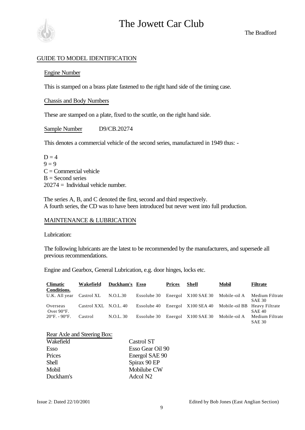

The Bradford

### GUIDE TO MODEL IDENTIFICATION

#### Engine Number

This is stamped on a brass plate fastened to the right hand side of the timing case.

#### Chassis and Body Numbers

These are stamped on a plate, fixed to the scuttle, on the right hand side.

Sample Number D9/CB.20274

This denotes a commercial vehicle of the second series, manufactured in 1949 thus: -

 $D = 4$  $9 = 9$  $C =$ Commercial vehicle  $B =$  Second series  $20274 =$  Individual vehicle number.

The series A, B, and C denoted the first, second and third respectively. A fourth series, the CD was to have been introduced but never went into full production.

### MAINTENANCE & LUBRICATION

Lubrication:

The following lubricants are the latest to be recommended by the manufacturers, and supersede all previous recommendations.

Engine and Gearbox, General Lubrication, e.g. door hinges, locks etc.

| <b>Climatic</b><br>Conditions.     | Wakefield             | Duckham's Esso |             | <b>Prices</b> | Shell                                            | <b>Mobil</b> | <b>Filtrate</b>                  |
|------------------------------------|-----------------------|----------------|-------------|---------------|--------------------------------------------------|--------------|----------------------------------|
| U.K. All year                      | Castrol XL            | N.O.L.30       | Essolube 30 |               | Energol X100 SAE 30                              | Mobile-oil A | Medium Filtrate<br><b>SAE 30</b> |
| Overseas<br>Over $90^{\circ}$ F.   | Castrol XXL N.O.L. 40 |                | Essolube 40 |               | Energol X100 SEA 40 Mobile-oil BB Heavy Filtrate |              | <b>SAE 40</b>                    |
| $20^{\circ}$ F. - 90 $^{\circ}$ F. | Castrol               | N.O.L. 30      |             |               | Essolube 30 Energol X100 SAE 30                  | Mobile-oil A | Medium Filtrate<br><b>SAE 30</b> |

|  |  | Rear Axle and Steering Box: |  |
|--|--|-----------------------------|--|
|  |  |                             |  |

| Wakefield | Castrol ST           |
|-----------|----------------------|
| Esso      | Esso Gear Oil 90     |
| Prices    | Energol SAE 90       |
| Shell     | Spirax 90 EP         |
| Mobil     | Mobilube CW          |
| Duckham's | Adcol N <sub>2</sub> |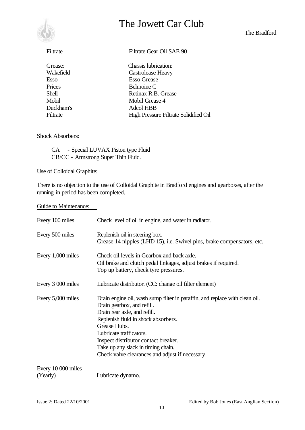

The Bradford

| Filtrate  | Filtrate Gear Oil SAE 90              |
|-----------|---------------------------------------|
| Grease:   | Chassis lubrication:                  |
| Wakefield | Castrolease Heavy                     |
| Esso      | <b>Esso Grease</b>                    |
| Prices    | Belmoine C                            |
| Shell     | Retinax R.B. Grease                   |
| Mobil     | Mobil Grease 4                        |
| Duckham's | Adcol HBB                             |
| Filtrate  | High Pressure Filtrate Solidified Oil |

#### Shock Absorbers:

CA - Special LUVAX Piston type Fluid CB/CC - Armstrong Super Thin Fluid.

Use of Colloidal Graphite:

There is no objection to the use of Colloidal Graphite in Bradford engines and gearboxes, after the running-in period has been completed.

#### Guide to Maintenance:

| Every 100 miles                | Check level of oil in engine, and water in radiator.                                                                                                                                                                                                                                                                                                         |
|--------------------------------|--------------------------------------------------------------------------------------------------------------------------------------------------------------------------------------------------------------------------------------------------------------------------------------------------------------------------------------------------------------|
| Every 500 miles                | Replenish oil in steering box.<br>Grease 14 nipples (LHD 15), i.e. Swivel pins, brake compensators, etc.                                                                                                                                                                                                                                                     |
| Every 1,000 miles              | Check oil levels in Gearbox and back axle.<br>Oil brake and clutch pedal linkages, adjust brakes if required.<br>Top up battery, check tyre pressures.                                                                                                                                                                                                       |
| Every 3 000 miles              | Lubricate distributor. (CC: change oil filter element)                                                                                                                                                                                                                                                                                                       |
| Every 5,000 miles              | Drain engine oil, wash sump filter in paraffin, and replace with clean oil.<br>Drain gearbox, and refill.<br>Drain rear axle, and refill.<br>Replenish fluid in shock absorbers.<br>Grease Hubs.<br>Lubricate trafficators.<br>Inspect distributor contact breaker.<br>Take up any slack in timing chain.<br>Check valve clearances and adjust if necessary. |
| Every 10 000 miles<br>(Yearly) | Lubricate dynamo.                                                                                                                                                                                                                                                                                                                                            |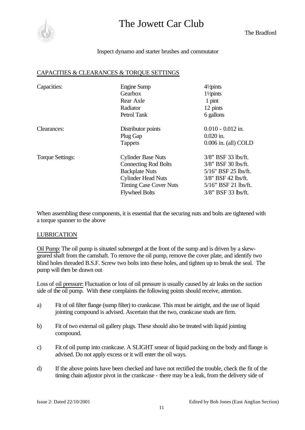

The Bradford

#### Inspect dynamo and starter brushes and commutator

#### CAPACITIES & CLEARANCES & TORQUE SETTINGS

| Capacities:      | Engine Sump<br>Gearbox<br>Rear Axle<br>Radiator<br>Petrol Tank                                                                                                           | $4\frac{1}{2}$ pints<br>11/pints<br>1 pint<br>12 pints<br>6 gallons                                                                               |
|------------------|--------------------------------------------------------------------------------------------------------------------------------------------------------------------------|---------------------------------------------------------------------------------------------------------------------------------------------------|
| Clearances:      | Distributor points<br>Plug Gap                                                                                                                                           | $0.010 - 0.012$ in.<br>$0.020$ in.                                                                                                                |
|                  | <b>Tappets</b>                                                                                                                                                           | $0.006$ in. (all) COLD                                                                                                                            |
| Torque Settings: | <b>Cylinder Base Nuts</b><br><b>Connecting Rod Bolts</b><br><b>Backplate Nuts</b><br><b>Cylinder Head Nuts</b><br><b>Timing Case Cover Nuts</b><br><b>Flywheel Bolts</b> | $3/8$ " BSF 33 lbs/ft.<br>$3/8$ " BSF 30 lbs/ft.<br>5/16" BSF 25 lbs/ft.<br>3/8" BSF 42 lbs/ft.<br>5/16" BSF 21 lbs/ft.<br>$3/8$ " BSF 33 lbs/ft. |

When assembling these components, it is essential that the securing nuts and bolts are tightened with a torque spanner to the above

#### LUBRICATION

Oil Pump: The oil pump is situated submerged at the front of the sump and is driven by a skewgeared shaft from the camshaft. To remove the oil pump, remove the cover plate, and identify two blind holes threaded B.S.F. Screw two bolts into these holes, and tighten up to break the seal. The pump will then be drawn out

Loss of oil pressure: Fluctuation or loss of oil pressure is usually caused by air leaks on the suction side of the oil pump. With these complaints the following points should receive, attention.

- a) Fit of oil filter flange (sump filter) to crankcase. This must be airtight, and the use of liquid jointing compound is advised. Ascertain that the two, crankcase studs are firm.
- b) Fit of two external oil gallery plugs. These should also be treated with liquid jointing compound.
- c) Fit of oil pump into crankcase. A SLIGHT smear of liquid packing on the body and flange is advised. Do not apply excess or it will enter the oil ways.
- d) If the above points have been checked and have not rectified the trouble, check the fit of the timing chain adjustor pivot in the crankcase - there may be a leak, from the delivery side of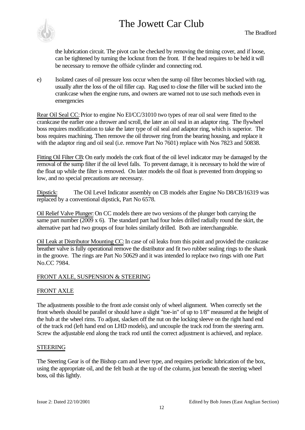

the lubrication circuit. The pivot can be checked by removing the timing cover, and if loose, can be tightened by turning the locknut from the front. If the head requires to be held it will be necessary to remove the offside cylinder and connecting rod.

e) Isolated cases of oil pressure loss occur when the sump oil filter becomes blocked with rag, usually after the loss of the oil filler cap. Rag used to close the filler will be sucked into the crankcase when the engine runs, and owners are warned not to use such methods even in emergencies

Rear Oil Seal CC: Prior to engine No EI/CC/31010 two types of rear oil seal were fitted to the crankcase the earlier one a thrower and scroll, the later an oil seal in an adaptor ring. The flywheel boss requires modification to take the later type of oil seal and adaptor ring, which is superior. The boss requires machining. Then remove the oil thrower ring from the bearing housing, and replace it with the adaptor ring and oil seal (i.e. remove Part No 7601) replace with Nos 7823 and 50838.

Fitting Oil Filter CB: On early models the cork float of the oil level indicator may be damaged by the removal of the sump filter if the oil level falls. To prevent damage, it is necessary to hold the wire of the float up while the filter is removed. On later models the oil float is prevented from dropping so low, and no special precautions are necessary.

Dipstick: The Oil Level Indicator assembly on CB models after Engine No D8/CB/16319 was replaced by a conventional dipstick, Part No 6578.

Oil Relief Valve Plunger: On CC models there are two versions of the plunger both carrying the same part number  $(2009 \times 6)$ . The standard part had four holes drilled radially round the skirt, the alternative part had two groups of four holes similarly drilled. Both are interchangeable.

Oil Leak at Distributor Mounting CC: In case of oil leaks from this point and provided the crankcase breather valve is fully operational remove the distributor and fit two rubber sealing rings to the shank in the groove. The rings are Part No 50629 and it was intended lo replace two rings with one Part No.CC 7984.

### FRONT AXLE, SUSPENSION & STEERING

### FRONT AXLE

The adjustments possible to the front axle consist only of wheel alignment. When correctly set the front wheels should be parallel or should have a slight "toe-in" of up to 1/8" measured at the height of the hub at the wheel rims. To adjust, slacken off the nut on the locking sleeve on the right hand end of the track rod (left hand end on LHD models), and uncouple the track rod from the steering arm. Screw the adjustable end along the track rod until the correct adjustment is achieved, and replace.

#### STEERING

The Steering Gear is of the Bishop cam and lever type, and requires periodic lubrication of the box, using the appropriate oil, and the felt bush at the top of the column, just beneath the steering wheel boss, oil this lightly.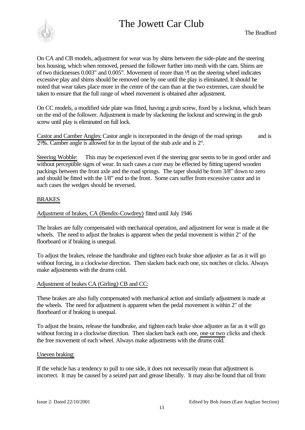

On CA and CB models, adjustment for wear was by shims between the side-plate and the steering box housing, which when removed, pressed the follower further into mesh with the cam. Shims are of two thicknesses  $0.003$ " and  $0.005$ ". Movement of more than  $\frac{1}{2}$  on the steering wheel indicates excessive play and shims should be removed one by one until the play is eliminated. It should be noted that wear takes place more in the centre of the cam than at the two extremes, care should be taken to ensure that the full range of wheel movement is obtained after adjustment.

On CC models, a modified side plate was fitted, having a grub screw, fixed by a locknut, which bears on the end of the follower. Adjustment is made by slackening the locknut and screwing in the grub screw until play is eliminated on full lock.

Castor and Camber Angles: Castor angle is incorporated in the design of the road springs and is  $2\frac{1}{2}$ . Camber angle is allowed for in the layout of the stub axle and is  $2^{\circ}$ .

Steering Wobble: This may be experienced even if the steering gear seems to be in good order and without perceptible signs of wear. In such cases a cure may be effected by fitting tapered wooden packings between the front axle and the road springs. The taper should be from 3/8" down to zero and should be fitted with the 1/8" end to the front. Some cars suffer from excessive castor and in such cases the wedges should be reversed.

### BRAKES

Adjustment of brakes, CA (Bendix-Cowdrey) fitted until July 1946

The brakes are fully compensated with mechanical operation, and adjustment for wear is made at the wheels. The need to adjust the brakes is apparent when the pedal movement is within 2" of the floorboard or if braking is unequal.

To adjust the brakes, release the handbrake and tighten each brake shoe adjuster as far as it will go without forcing, in a clockwise direction. Then slacken back each one, six notches or clicks. Always make adjustments with the drums cold.

### Adjustment of brakes CA (Girling) CB and CC:

These brakes are also fully compensated with mechanical action and similarly adjustment is made at the wheels. The need for adjustment is apparent when the pedal movement is within 2" of the floorboard or if braking is unequal.

To adjust the brains, release the handbrake, and tighten each brake shoe adjuster as far as it will go without forcing in a clockwise direction. Then slacken back each one, one or two clicks and check the free movement of each wheel. Always make adjustments with the drums cold.

#### Uneven braking:

If the vehicle has a tendency to pull to one side, it does not necessarily mean that adjustment is incorrect. It may be caused by a seized part and grease liberally. It may also be found that oil from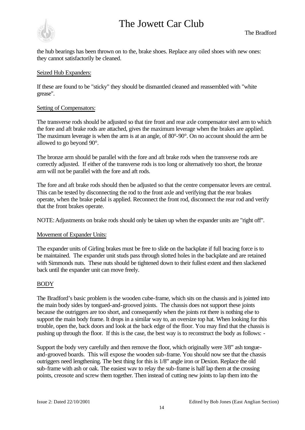

the hub bearings has been thrown on to the, brake shoes. Replace any oiled shoes with new ones: they cannot satisfactorily be cleaned.

#### Seized Hub Expanders:

If these are found to be "sticky" they should be dismantled cleaned and reassembled with "white grease".

#### Setting of Compensators:

The transverse rods should be adjusted so that tire front and rear axle compensator steel arm to which the fore and aft brake rods are attached, gives the maximum leverage when the brakes are applied. The maximum leverage is when the arm is at an angle, of 80°-90°. On no account should the arm be allowed to go beyond 90°.

The bronze arm should be parallel with the fore and aft brake rods when the transverse rods are correctly adjusted. If either of the transverse rods is too long or alternatively too short, the bronze arm will not be parallel with the fore and aft rods.

The fore and aft brake rods should then be adjusted so that the centre compensator levers are central. This can be tested by disconnecting the rod to the front axle and verifying that the rear brakes operate, when the brake pedal is applied. Reconnect the front rod, disconnect the rear rod and verify that the front brakes operate.

NOTE:Adjustments on brake rods should only be taken up when the expander units are "right off".

### Movement of Expander Units:

The expander units of Girling brakes must be free to slide on the backplate if full bracing force is to be maintained. The expander unit studs pass through slotted holes in the backplate and are retained with Simmonds nuts. These nuts should be tightened down to their fullest extent and then slackened back until the expander unit can move freely.

### BODY

The Bradford's basic problem is the wooden cube-frame, which sits on the chassis and is jointed into the main body sides by tongued-and-grooved joints. The chassis does not support these joints because the outriggers are too short, and consequently when the joints rot there is nothing else to support the main body frame. It drops in a similar way to, an oversize top hat. When looking for this trouble, open the, back doors and look at the back edge of the floor. You may find that the chassis is pushing up through the floor. If this is the case, the best way is to reconstruct the body as follows: -

Support the body very carefully and then remove the floor, which originally were 3/8" ash tongueand-grooved boards. This will expose the wooden sub-frame. You should now see that the chassis outriggers need lengthening. The best thing for this is 1/8" angle iron or Dexion. Replace the old sub-frame with ash or oak. The easiest wav to relay the sub-frame is half lap them at the crossing points, creosote and screw them together. Then instead of cutting new joints to lap them into the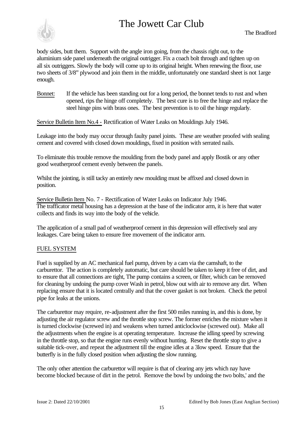

body sides, butt them. Support with the angle iron going, from the chassis right out, to the aluminium side panel underneath the original outrigger. Fix a coach bolt through and tighten up on all six outriggers. Slowly the body will come up to its original height. When renewing the floor, use two sheets of 3/8" plywood and join them in the middle, unfortunately one standard sheet is not 1arge enough.

Bonnet: If the vehicle has been standing out for a long period, the bonnet tends to rust and when opened, rips the hinge off completely. The best cure is to free the hinge and replace the steel hinge pins with brass ones. The best prevention is to oil the hinge regularly.

Service Bulletin Item No.4 - Rectification of Water Leaks on Mouldings July 1946.

Leakage into the body may occur through faulty panel joints. These are weather proofed with sealing cement and covered with closed down mouldings, fixed in position with serrated nails.

To eliminate this trouble remove the moulding from the body panel and apply Bostik or any other good weatherproof cement evenly between the panels.

Whilst the jointing, is still tacky an entirely new moulding must be affixed and closed down in position.

Service Bulletin Item No. 7 - Rectification of Water Leaks on Indicator July 1946. The trafficator metal housing has a depression at the base of the indicator arm, it is here that water collects and finds its way into the body of the vehicle.

The application of a small pad of weatherproof cement in this depression will effectively seal any leakages. Care being taken to ensure free movement of the indicator arm.

### FUEL SYSTEM

Fuel is supplied by an AC mechanical fuel pump, driven by a cam via the camshaft, to the carburettor. The action is completely automatic, but care should be taken to keep it free of dirt, and to ensure that all connections are tight, The pump contains a screen, or filter, which can be removed for cleaning by undoing the pump cover Wash in petrol, blow out with air to remove any dirt. When replacing ensure that it is located centrally and that the cover gasket is not broken. Check the petrol pipe for leaks at the unions.

The carburettor may require, re-adjustment after the first 500 miles running in, and this is done, by adjusting the air regulator screw and the throttle stop screw. The former enriches the mixture when it is turned clockwise (screwed in) and weakens when turned anticlockwise (screwed out). Make all the adjustments when the engine is at operating temperature. Increase the idling speed by screwing in the throttle stop, so that the engine runs evenly without hunting. Reset the throttle stop to give a suitable tick-over, and repeat the adjustment till the engine idles at a 3low speed. Ensure that the butterfly is in the fully closed position when adjusting the slow running.

The only other attention the carburettor will require is that of clearing any jets which nay have become blocked because of dirt in the petrol. Remove the bowl by undoing the two bolts,' and the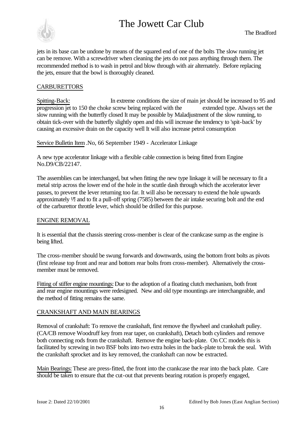

jets in its base can be undone by means of the squared end of one of the bolts The slow running jet can be remove. With a screwdriver when cleaning the jets do not pass anything through them. The recommended method is to wash in petrol and blow through with air alternately. Before replacing the jets, ensure that the bowl is thoroughly cleaned.

### **CARBURETTORS**

Spitting-Back: In extreme conditions the size of main jet should be increased to 95 and progression jet to 150 the choke screw being replaced with the extended type. Always set the slow running with the butterfly closed It may be possible by Maladjustment of the slow running, to obtain tick-over with the butterfly slightly open and this will increase the tendency to 'spit-back' by causing an excessive drain on the capacity well It will also increase petrol consumption

Service Bulletin Item .No, 66 September 1949 - Accelerator Linkage

A new type accelerator linkage with a flexible cable connection is being fitted from Engine No.D9/CB/22147.

The assemblies can be interchanged, but when fitting the new type linkage it will be necessary to fit a metal strip across the lower end of the hole in the scuttle dash through which the accelerator lever passes, to prevent the lever returning too far. It will also be necessary to extend the hole upwards approximately <sup>1</sup>/<sub>2</sub> and to fit a pull-off spring (7585) between the air intake securing bolt and the end of the carburettor throttle lever, which should be drilled for this purpose.

#### ENGINE REMOVAL

It is essential that the chassis steering cross-member is clear of the crankcase sump as the engine is being lifted.

The cross-member should be swung forwards and downwards, using the bottom front bolts as pivots (first release top front and rear and bottom rear bolts from cross-member). Alternatively the crossmember must be removed.

Fitting of stiffer engine mountings: Due to the adoption of a floating clutch mechanism, both front and rear engine mountings were redesigned. New and old type mountings are interchangeable, and the method of fitting remains the same.

### CRANKSHAFT AND MAIN BEARINGS

Removal of crankshaft: To remove the crankshaft, first remove the flywheel and crankshaft pulley. (CA/CB remove Woodruff key from rear taper, on crankshaft), Detach both cylinders and remove both connecting rods from the crankshaft. Remove the engine back-plate. On CC models this is facilitated by screwing in two BSF bolts into two extra holes in the back-plate to break the seal. With the crankshaft sprocket and its key removed, the crankshaft can now be extracted.

Main Bearings: These are press-fitted, the front into the crankcase the rear into the back plate. Care should be taken to ensure that the cut-out that prevents bearing rotation is properly engaged,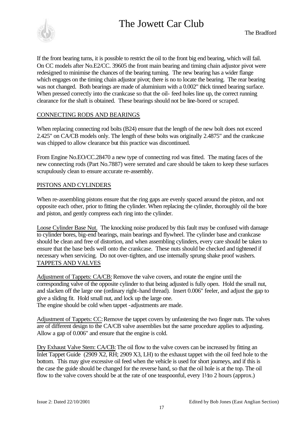

If the front bearing turns, it is possible to restrict the oil to the front big end bearing, which will fail. On CC models after No.E2/CC. 39605 the front main bearing and timing chain adjustor pivot were redesigned to minimise the chances of the bearing turning. The new bearing has a wider flange which engages on the timing chain adjustor pivot; there is no to locate the bearing. The rear bearing was not changed. Both bearings are made of aluminium with a 0.002" thick tinned bearing surface. When pressed correctly into the crankcase so that the oil- feed holes line up, the correct running clearance for the shaft is obtained. These bearings should not be line-bored or scraped.

### CONNECTING RODS AND BEARINGS

When replacing connecting rod bolts (B24) ensure that the length of the new bolt does not exceed 2.425" on CA/CB models only. The length of these bolts was originally 2.4875" and the crankcase was chipped to allow clearance but this practice was discontinued.

From Engine No.EO/CC.28470 a new type of connecting rod was fitted. The mating faces of the new connecting rods (Part No.7887) were serrated and care should be taken to keep these surfaces scrupulously clean to ensure accurate re-assembly.

#### PISTONS AND CYLINDERS

When re-assembling pistons ensure that the ring gaps are evenly spaced around the piston, and not opposite each other, prior to fitting the cylinder. When replacing the cylinder, thoroughly oil the bore and piston, and gently compress each ring into the cylinder.

Loose Cylinder Base Nut. The knocking noise produced by this fault may be confused with damage to cylinder bores, big-end bearings, main bearings and flywheel. The cylinder base and crankcase should be clean and free of distortion, and when assembling cylinders, every care should be taken to ensure that the base beds well onto the crankcase. These nuts should be checked and tightened if necessary when servicing. Do not over-tighten, and use internally sprung shake proof washers. TAPPETS AND VALVES

Adjustment of Tappets: CA/CB: Remove the valve covers, and rotate the engine until the corresponding valve of the opposite cylinder to that being adjusted is fully open. Hold the small nut, and slacken off the large one (ordinary right-hand thread). Insert 0.006" feeler, and adjust the gap to give a sliding fit. Hold small nut, and lock up the large one. The engine should be cold when tappet -adjustments are made.

Adjustment of Tappets: CC: Remove the tappet covers by unfastening the two finger nuts. The valves are of different design to the CA/CB valve assemblies but the same procedure applies to adjusting. Allow a gap of 0.006" and ensure that the engine is cold.

Dry Exhaust Valve Stem: CA/CB: The oil flow to the valve covers can be increased by fitting an Inlet Tappet Guide (2909 X2, RH; 2909 X3, LH) to the exhaust tappet with the oil feed hole to the bottom. This may give excessive oil feed when the vehicle is used for short journeys, and if this is the case the guide should be changed for the reverse hand, so that the oil hole is at the top. The oil flow to the valve covers should be at the rate of one teaspoonful, every  $1\frac{1}{2}$  hours (approx.)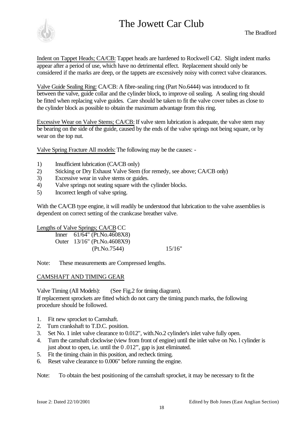

Indent on Tappet Heads; CA/CB: Tappet heads are hardened to Rockwell C42. Slight indent marks appear after a period of use, which have no detrimental effect. Replacement should only be considered if the marks are deep, or the tappets are excessively noisy with correct valve clearances.

Valve Guide Sealing Ring: CA/CB: A fibre-sealing ring (Part No.6444) was introduced to fit between the valve, guide collar and the cylinder block, to improve oil sealing. A sealing ring should be fitted when replacing valve guides. Care should be taken to fit the valve cover tubes as close to the cylinder block as possible to obtain the maximum advantage from this ring.

Excessive Wear on Valve Stems; CA/CB: If valve stem lubrication is adequate, the valve stem may be bearing on the side of the guide, caused by the ends of the valve springs not being square, or by wear on the top nut.

Valve Spring Fracture All models: The following may be the causes: -

- 1) Insufficient lubrication (CA/CB only)
- 2) Sticking or Dry Exhaust Valve Stem (for remedy, see above; CA/CB only)
- 3) Excessive wear in valve stems or guides.
- 4) Valve springs not seating square with the cylinder blocks.
- 5) Incorrect length of valve spring.

With the CA/CB type engine, it will readily be understood that lubrication to the valve assemblies is dependent on correct setting of the crankcase breather valve.

Lengths of Valve Springs; CA/CB CC Inner 61/64" (Pt.No.4608X8) Outer 13/16" (Pt.No.4608X9) (Pt.No.7544) 15/16"

Note: These measurements are Compressed lengths.

### CAMSHAFT AND TIMING GEAR

Valve Timing (All Models): (See Fig.2 for timing diagram). If replacement sprockets are fitted which do not carry the timing punch marks, the following procedure should be followed.

- 1. Fit new sprocket to Camshaft.
- 2. Turn crankshaft to T.D.C. position.
- 3. Set No. 1 inlet valve clearance to 0.012", with.No.2 cylinder's inlet valve fully open.
- 4. Turn the camshaft clockwise (view from front of engine) until the inlet valve on No. l cylinder is just about to open, i.e. until the 0 .012", gap is just eliminated.
- 5. Fit the timing chain in this position, and recheck timing.
- 6. Reset valve clearance to 0.006" before running the engine.

Note: To obtain the best positioning of the camshaft sprocket, it may be necessary to fit the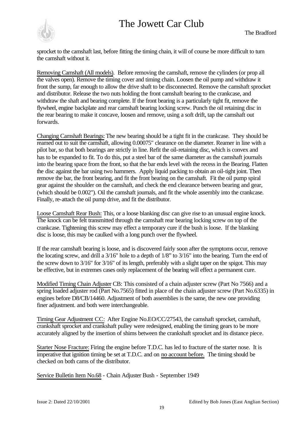

sprocket to the camshaft last, before fitting the timing chain, it will of course be more difficult to turn the camshaft without it.

Removing Camshaft (All models). Before removing the camshaft, remove the cylinders (or prop all the valves open). Remove the timing cover and timing chain. Loosen the oil pump and withdraw it front the sump, far enough to allow the drive shaft to be disconnected. Remove the camshaft sprocket and distributor. Release the two nuts holding the front camshaft bearing to the crankcase, and withdraw the shaft and bearing complete. If the front bearing is a particularly tight fit, remove the flywheel, engine backplate and rear camshaft bearing locking screw. Punch the oil retaining disc in the rear bearing to make it concave, loosen and remove, using a soft drift, tap the camshaft out forwards.

Changing Camshaft Bearings: The new bearing should be a tight fit in the crankcase. They should be reamed out to suit the camshaft, allowing 0.00075" clearance on the diameter. Reamer in line with a pilot bar, so that both bearings are strictly in line. Refit the oil-retaining disc, which is convex and has to be expanded to fit. To do this, put a steel bar of the same diameter as the camshaft journals into the bearing space from the front, so that the bar ends level with the recess in the Bearing. Flatten the disc against the bar using two hammers. Apply liquid packing to obtain an oil-tight joint. Then remove the bar, the front bearing, and fit the front bearing on the camshaft. Fit the oil pump spiral gear against the shoulder on the camshaft, and check the end clearance between bearing and gear, (which should be 0.002"). Oil the camshaft journals, and fit the whole assembly into the crankcase. Finally, re-attach the oil pump drive, and fit the distributor.

Loose Camshaft Rear Bush: This, or a loose blanking disc can give rise to an unusual engine knock. The knock can be felt transmitted through the camshaft rear bearing locking screw on top of the crankcase. Tightening this screw may effect a temporary cure if the bush is loose. If the blanking disc is loose, this may be caulked with a long punch over the flywheel.

If the rear camshaft bearing is loose, and is discovered fairly soon after the symptoms occur, remove the locating screw, and drill a 3/16" hole to a depth of 1/8" to 3/16" into the bearing. Turn the end of the screw down to 3/16" for 3/16" of its length, preferably with a slight taper on the spigot. This may be effective, but in extremes cases only replacement of the bearing will effect a permanent cure.

Modified Timing Chain Adjuster CB: This consisted of a chain adjuster screw (Part No 7566) and a spring loaded adjuster rod (Part No.7565) fitted in place of the chain adjuster screw (Part No.6335) in engines before D8/CB/14460. Adjustment of both assemblies is the same, the new one providing finer adjustment. and both were interchangeable.

Timing Gear Adjustment CC: After Engine No.EO/CC/27543, the camshaft sprocket, camshaft, crankshaft sprocket and crankshaft pulley were redesigned, enabling the timing gears to be more accurately aligned by the insertion of shims between the crankshaft sprocket and its distance piece.

Starter Nose Fracture: Firing the engine before T.D.C. has led to fracture of the starter nose. It is imperative that ignition timing be set at T.D.C. and on no account before. The timing should be checked on both cams of the distributor.

Service Bulletin Item No.68 - Chain Adjuster Bush - September 1949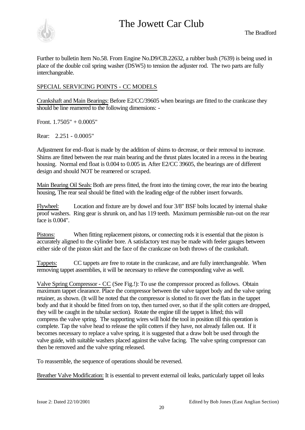

Further to bulletin Item No.58. From Engine No.D9/CB.22632, a rubber bush (7639) is being used in place of the double coil spring washer (DSW5) to tension the adjuster rod. The two parts are fully interchangeable.

### SPECIAL SERVICING POINTS - CC MODELS

Crankshaft and Main Bearings: Before E2/CC/39605 when bearings are fitted to the crankcase they should be line reamered to the following dimensions: -

Front.  $1.7505" + 0.0005"$ 

Rear: 2.251 - 0.0005"

Adjustment for end-float is made by the addition of shims to decrease, or their removal to increase. Shims are fitted between the rear main bearing and the thrust plates located in a recess in the bearing housing. Normal end float is 0.004 to 0.005 in. After E2/CC 39605, the bearings are of different design and should NOT be reamered or scraped.

Main Bearing Oil Seals: Both are press fitted, the front into the timing cover, the rear into the bearing housing, The rear seal should be fitted with the leading edge of the rubber insert forwards.

Flywheel: Location and fixture are by dowel and four 3/8" BSF bolts located by internal shake proof washers. Ring gear is shrunk on, and has 119 teeth. Maximum permissible run-out on the rear face is 0.004".

Pistons: When fitting replacement pistons, or connecting rods it is essential that the piston is accurately aligned to the cylinder bore. A satisfactory test may be made with feeler gauges between either side of the piston skirt and the face of the crankcase on both throws of the crankshaft.

Tappets: CC tappets are free to rotate in the crankcase, and are fully interchangeable. When removing tappet assemblies, it will be necessary to relieve the corresponding valve as well.

Valve Spring Compressor - CC (See Fig.!): To use the compressor proceed as follows. Obtain maximum tappet clearance. Place the compressor between the valve tappet body and the valve spring retainer, as shown. (It will be noted that the compressor is slotted to fit over the flats in the tappet body and that it should be fitted from on top, then turned over, so that if the split cotters are dropped. they will be caught in the tubular section). Rotate the engine till the tappet is lifted; this will compress the valve spring. The supporting wires will hold the tool in position till this operation is complete. Tap the valve head to release the split cotters if they have, not already fallen out. If it becomes necessary to replace a valve spring, it is suggested that a draw bolt be used through the valve guide, with suitable washers placed against the valve facing. The valve spring compressor can then be removed and the valve spring released.

To reassemble, the sequence of operations should be reversed.

Breather Valve Modification: It is essential to prevent external oil leaks, particularly tappet oil leaks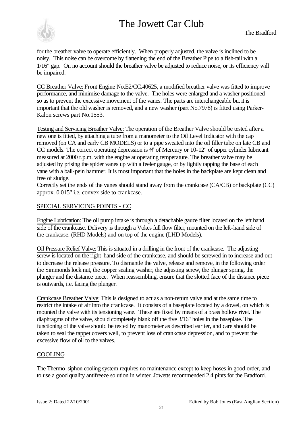

for the breather valve to operate efficiently. When properly adjusted, the valve is inclined to be noisy. This noise can be overcome by flattening the end of the Breather Pipe to a fish-tail with a 1/16" gap. On no account should the breather valve be adjusted to reduce noise, or its efficiency will be impaired.

CC Breather Valve: Front Engine No.E2/CC.40625, a modified breather valve was fitted to improve performance, and minimise damage to the valve. The holes were enlarged and a washer positioned so as to prevent the excessive movement of the vanes. The parts are interchangeable but it is important that the old washer is removed, and a new washer (part No.7978) is fitted using Parker-Kalon screws part No.1553.

Testing and Servicing Breather Valve: The operation of the Breather Valve should be tested after a new one is fitted, by attaching a tube from a manometer to the Oil Level Indicator with the cap removed (on CA and early CB MODELS) or to a pipe sweated into the oil filler tube on late CB and CC models. The correct operating depression is ¾" of Mercury or 10-12" of upper cylinder lubricant measured at 2000 r.p.m. with the engine at operating temperature. The breather valve may be adjusted by prising the spider vanes up with a feeler gauge, or by lightly tapping the base of each vane with a ball-pein hammer. It is most important that the holes in the backplate are kept clean and free of sludge.

Correctly set the ends of the vanes should stand away from the crankcase (CA/CB) or backplate (CC) approx. 0.015" i.e. convex side to crankcase.

### SPECIAL SERVICING POINTS - CC

Engine Lubrication: The oil pump intake is through a detachable gauze filter located on the left hand side of the crankcase. Delivery is through a Vokes full flow filter, mounted on the left-hand side of the crankcase. (RHD Models) and on top of the engine (LHD Models).

Oil Pressure Relief Valve: This is situated in a drilling in the front of the crankcase. The adjusting screw is located on the right-hand side of the crankcase, and should be screwed in to increase and out to decrease the release pressure. To dismantle the valve, release and remove, in the following order the Simmonds lock nut, the copper sealing washer, the adjusting screw, the plunger spring, the plunger and the distance piece. When reassembling, ensure that the slotted face of the distance piece is outwards, i.e. facing the plunger.

Crankcase Breather Valve: This is designed to act as a non-return valve and at the same time to restrict the intake of air into the crankcase. It consists of a baseplate located by a dowel, on which is mounted the valve with its tensioning vane. These are fixed by means of a brass hollow rivet. The diaphragms of the valve, should completely blank off the five 3/16" holes in the baseplate. The functioning of the valve should be tested by manometer as described earlier, and care should be taken to seal the tappet covers well, to prevent loss of crankcase depression, and to prevent the excessive flow of oil to the valves.

### COOLING

The Thermo-siphon cooling system requires no maintenance except to keep hoses in good order, and to use a good quality antifreeze solution in winter. Jowetts recommended 2.4 pints for the Bradford.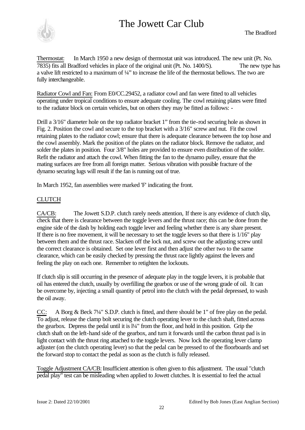

Thermostat: In March 1950 a new design of thermostat unit was introduced. The new unit (Pt. No. 7835) fits all Bradford vehicles in place of the original unit (Pt. No. 1400/S). The new type has a valve lift restricted to a maximum of ¼" to increase the life of the thermostat bellows. The two are fully interchangeable.

Radiator Cowl and Fan: From E0/CC.29452, a radiator cowl and fan were fitted to all vehicles operating under tropical conditions to ensure adequate cooling. The cowl retaining plates were fitted to the radiator block on certain vehicles, but on others they may be fitted as follows: -

Drill a 3/16" diameter hole on the top radiator bracket 1" from the tie-rod securing hole as shown in Fig. 2. Position the cowl and secure to the top bracket with a 3/16" screw and nut. Fit the cowl retaining plates to the radiator cowl; ensure that there is adequate clearance between the top hose and the cowl assembly. Mark the position of the plates on the radiator block. Remove the radiator, and solder the plates in position. Four 3/8" holes are provided to ensure even distribution of the solder. Refit the radiator and attach the cowl. When fitting the fan to the dynamo pulley, ensure that the mating surfaces are free from all foreign matter. Serious vibration with possible fracture of the dynamo securing lugs will result if the fan is running out of true.

In March 1952, fan assemblies were marked 'F' indicating the front.

### **CLUTCH**

CA/CB: The Jowett S.D.P. clutch rarely needs attention, If there is any evidence of clutch slip, check that there is clearance between the toggle levers and the thrust race; this can be done from the engine side of the dash by holding each toggle lever and feeling whether there is any share present. If there is no free movement, it will be necessary to set the toggle levers so that there is 1/16" play between them and the thrust race. Slacken off the lock nut, and screw out the adjusting screw until the correct clearance is obtained. Set one lever first and then adjust the other two to the same clearance, which can be easily checked by pressing the thrust race lightly against the levers and feeling the play on each one. Remember to retighten the lockouts.

If clutch slip is still occurring in the presence of adequate play in the toggle levers, it is probable that oil has entered the clutch, usually by overfilling the gearbox or use of the wrong grade of oil. It can be overcome by, injecting a small quantity of petrol into the clutch with the pedal depressed, to wash the oil away.

CC: A Borg & Beck 7¼" S.D.P. clutch is fitted, and there should be 1" of free play on the pedal. To adjust, release the clamp bolt securing the clutch operating lever to the clutch shaft, fitted across the gearbox. Depress the pedal until it is l¼" from the floor, and hold in this position. Grip the clutch shaft on the left-hand side of the gearbox, and turn it forwards until the carbon thrust pad is in light contact with the thrust ring attached to the toggle levers. Now lock the operating lever clamp adjuster (on the clutch operating lever) so that the pedal can be pressed to of the floorboards and set the forward stop to contact the pedal as soon as the clutch is fully released.

Toggle Adjustment CA/CB: Insufficient attention is often given to this adjustment. The usual "clutch pedal play" test can be misleading when applied to Jowett clutches. It is essential to feel the actual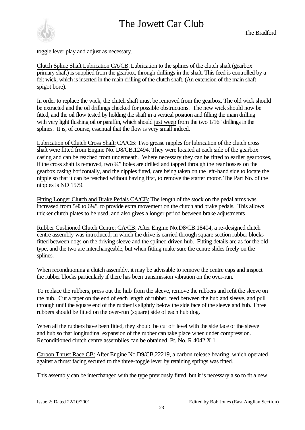

toggle lever play and adjust as necessary.

Clutch Spline Shaft Lubrication CA/CB: Lubrication to the splines of the clutch shaft (gearbox primary shaft) is supplied from the gearbox, through drillings in the shaft. This feed is controlled by a felt wick, which is inserted in the main drilling of the clutch shaft. (An extension of the main shaft spigot bore).

In order to replace the wick, the clutch shaft must be removed from the gearbox. The old wick should be extracted and the oil drillings checked for possible obstructions. The new wick should now be fitted, and the oil flow tested by holding the shaft in a vertical position and filling the main drilling with very light flushing oil or paraffin, which should just weep from the two  $1/16$ " drillings in the splines. It is, of course, essential that the flow is very small indeed.

Lubrication of Clutch Cross Shaft: CA/CB: Two grease nipples for lubrication of the clutch cross shaft were fitted from Engine No. D8/CB.12494. They were located at each side of the gearbox casing and can be reached from underneath. Where necessary they can be fitted to earlier gearboxes, if the cross shaft is removed, two ¼" holes are drilled and tapped through the rear bosses on the gearbox casing horizontally, and the nipples fitted, care being taken on the left-hand side to locate the nipple so that it can be reached without having first, to remove the starter motor. The Part No. of the nipples is ND 1579.

Fitting Longer Clutch and Brake Pedals CA/CB: The length of the stock on the pedal arms was increased from 5<sup>3</sup>/4 to 6<sup>1</sup>/<sub>4</sub>", to provide extra movement on the clutch and brake pedals. This allows thicker clutch plates to be used, and also gives a longer period between brake adjustments

Rubber Cushioned Clutch Centre; CA/CB: After Engine No.D8/CB.18404, a re-designed clutch centre assembly was introduced, in which the drive is carried through square section rubber blocks fitted between dogs on the driving sleeve and the splined driven hub. Fitting details are as for the old type, and the two are interchangeable, but when fitting make sure the centre slides freely on the splines.

When reconditioning a clutch assembly, it may be advisable to remove the centre caps and inspect the rubber blocks particularly if there has been transmission vibration on the over-run.

To replace the rubbers, press out the hub from the sleeve, remove the rubbers and refit the sleeve on the hub. Cut a taper on the end of each length of rubber, feed between the hub and sleeve, and pull through until the square end of the rubber is slightly below the side face of the sleeve and hub. Three rubbers should be fitted on the over-run (square) side of each hub dog.

When all the rubbers have been fitted, they should be cut off level with the side face of the sleeve and hub so that longitudinal expansion of the rubber can take place when under compression. Reconditioned clutch centre assemblies can be obtained, Pt. No. R 4042 X 1.

Carbon Thrust Race CB: After Engine No.D9/CB.22219, a carbon release bearing, which operated against a thrust facing secured to the three-toggle lever by retaining springs was fitted.

This assembly can be interchanged with the type previously fitted, but it is necessary also to fit a new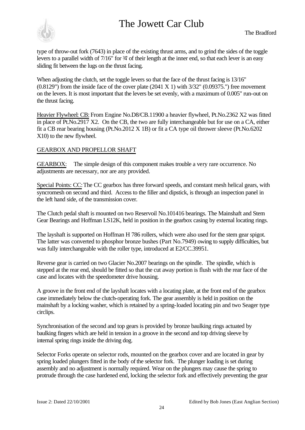

type of throw-out fork (7643) in place of the existing thrust arms, and to grind the sides of the toggle levers to a parallel width of 7/16" for  $\frac{3}{4}$  of their length at the inner end, so that each lever is an easy sliding fit between the lugs on the thrust facing.

When adjusting the clutch, set the toggle levers so that the face of the thrust facing is 13/16"  $(0.8129'')$  from the inside face of the cover plate  $(2041 \text{ X } 1)$  with  $3/32'$   $(0.09375'')$  free movement on the levers. It is most important that the levers be set evenly, with a maximum of 0.005" run-out on the thrust facing.

Heavier Flywheel: CB: From Engine No.D8/CB.11900 a heavier flywheel, Pt.No.2362 X2 was fitted in place of Pt.No.2917 X2. On the CB, the two are fully interchangeable but for use on a CA, either fit a CB rear bearing housing (Pt.No.2012 X 1B) or fit a CA type oil thrower sleeve (Pt.No.6202 X10) to the new flywheel.

### GEARBOX AND PROPELLOR SHAFT

GEARBOX: The simple design of this component makes trouble a very rare occurrence. No adjustments are necessary, nor are any provided.

Special Points: CC: The CC gearbox has three forward speeds, and constant mesh helical gears, with syncromesh on second and third. Access to the filler and dipstick, is through an inspection panel in the left hand side, of the transmission cover.

The Clutch pedal shaft is mounted on two Reservoil No.101416 bearings. The Mainshaft and Stem Gear Bearings and Hoffman LS12K, held in position in the gearbox casing by external locating rings.

The layshaft is supported on Hoffman H 786 rollers, which were also used for the stem gear spigot. The latter was converted to phosphor bronze bushes (Part No.7949) owing to supply difficulties, but was fully interchangeable with the roller type, introduced at E2/CC.39951.

Reverse gear is carried on two Glacier No.2007 bearings on the spindle. The spindle, which is stepped at the rear end, should be fitted so that the cut away portion is flush with the rear face of the case and locates with the speedometer drive housing.

A groove in the front end of the layshaft locates with a locating plate, at the front end of the gearbox case immediately below the clutch-operating fork. The gear assembly is held in position on the mainshaft by a locking washer, which is retained by a spring-loaded locating pin and two Seager type circlips.

Synchronisation of the second and top gears is provided by bronze baulking rings actuated by baulking fingers which are held in tension in a groove in the second and top driving sleeve by internal spring rings inside the driving dog.

Selector Forks operate on selector rods, mounted on the gearbox cover and are located in gear by spring loaded plungers fitted in the body of the selector fork. The plunger loading is set during assembly and no adjustment is normally required. Wear on the plungers may cause the spring to protrude through the case hardened end, locking the selector fork and effectively preventing the gear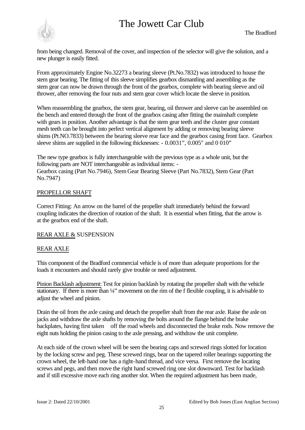

from being changed. Removal of the cover, and inspection of the selector will give the solution, and a new plunger is easily fitted.

From approximately Engine No.32273 a bearing sleeve (Pt.No.7832) was introduced to house the stem gear bearing. The fitting of this sleeve simplifies gearbox dismantling and assembling as the stem gear can now be drawn through the front of the gearbox, complete with bearing sleeve and oil thrower, after removing the four nuts and stem gear cover which locate the sleeve in position.

When reassembling the gearbox, the stem gear, bearing, oil thrower and sleeve can be assembled on the bench and entered through the front of the gearbox casing after fitting the mainshaft complete with gears in position. Another advantage is that the stem gear teeth and the cluster gear constant mesh teeth can be brought into perfect vertical alignment by adding or removing bearing sleeve shims (Pt.NO.7833) between the bearing sleeve rear face and the gearbox casing front face. Gearbox sleeve shims are supplied in the following thicknesses: - 0.0031", 0.005" and 0 010"

The new type gearbox is fully interchangeable with the previous type as a whole unit, but the following parts are NOT interchangeable as individual items: - Gearbox casing (Part No.7946), Stem Gear Bearing Sleeve (Part No.7832), Stem Gear (Part No.7947)

### PROPELLOR SHAFT

Correct Fitting: An arrow on the barrel of the propeller shaft immediately behind the forward coupling indicates the direction of rotation of the shaft. It is essential when fitting, that the arrow is at the gearbox end of the shaft.

### REAR AXLE & SUSPENSION

### REAR AXLE

This component of the Bradford commercial vehicle is of more than adequate proportions for the loads it encounters and should rarely give trouble or need adjustment.

Pinion Backlash adjustment: Test for pinion backlash by rotating the propeller shaft with the vehicle stationary. If there is more than  $\frac{1}{4}$ " movement on the rim of the f flexible coupling, it is advisable to adjust the wheel and pinion.

Drain the oil from the axle casing and detach the propeller shaft from the rear axle. Raise the axle on jacks and withdraw the axle shafts by removing the bolts around the flange behind the brake backplates, having first taken off the road wheels and disconnected the brake rods. Now remove the eight nuts holding the pinion casing to the axle pressing, and withdraw the unit complete.

At each side of the crown wheel will be seen the bearing caps and screwed rings slotted for location by the locking screw and peg. These screwed rings, bear on the tapered roller bearings supporting the crown wheel, the left-hand one has a right-hand thread, and vice versa. First remove the locating screws and pegs, and then move the right hand screwed ring one slot downward. Test for backlash and if still excessive move each ring another slot. When the required adjustment has been made,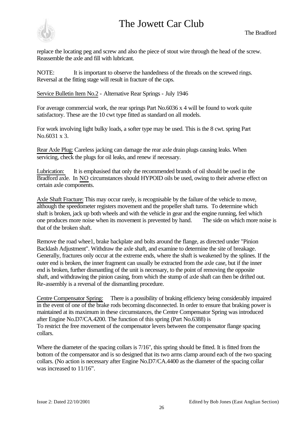

replace the locating peg and screw and also the piece of stout wire through the head of the screw. Reassemble the axle and fill with lubricant.

NOTE: It is important to observe the handedness of the threads on the screwed rings. Reversal at the fitting stage will result in fracture of the caps.

Service Bulletin Item No.2 - Alternative Rear Springs - July 1946

For average commercial work, the rear springs Part No.6036 x 4 will be found to work quite satisfactory. These are the 10 cwt type fitted as standard on all models.

For work involving light bulky loads, a softer type may be used. This is the 8 cwt. spring Part No.6031 x 3.

Rear Axle Plug: Careless jacking can damage the rear axle drain plugs causing leaks. When servicing, check the plugs for oil leaks, and renew if necessary.

Lubrication: It is emphasised that only the recommended brands of oil should be used in the Bradford axle. In NO circumstances should HYPOID oils be used, owing to their adverse effect on certain axle components.

Axle Shaft Fracture: This may occur rarely, is recognisable by the failure of the vehicle to move, although the speedometer registers movement and the propeller shaft turns. To determine which shaft is broken, jack up both wheels and with the vehicle in gear and the engine running, feel which one produces more noise when its movement is prevented by hand. The side on which more noise is that of the broken shaft.

Remove the road whee1, brake backplate and bolts around the flange, as directed under "Pinion Backlash Adjustment". Withdraw the axle shaft, and examine to determine the site of breakage. Generally, fractures only occur at the extreme ends, where the shaft is weakened by the splines. If the outer end is broken, the inner fragment can usually be extracted from the axle case, but if the inner end is broken, further dismantling of the unit is necessary, to the point of removing the opposite shaft, and withdrawing the pinion casing, from which the stump of axle shaft can then be drifted out. Re-assembly is a reversal of the dismantling procedure.

Centre Compensator Spring: There is a possibility of braking efficiency being considerably impaired in the event of one of the brake rods becoming disconnected. In order to ensure that braking power is maintained at its maximum in these circumstances, the Centre Compensator Spring was introduced after Engine No.D7/CA.4200. The function of this spring (Part No.6388) is To restrict the free movement of the compensator levers between the compensator flange spacing collars.

Where the diameter of the spacing collars is 7/16", this spring should be fitted. It is fitted from the bottom of the compensator and is so designed that its two arms clamp around each of the two spacing collars. (No action is necessary after Engine No.D7/CA.4400 as the diameter of the spacing collar was increased to  $11/16$ ".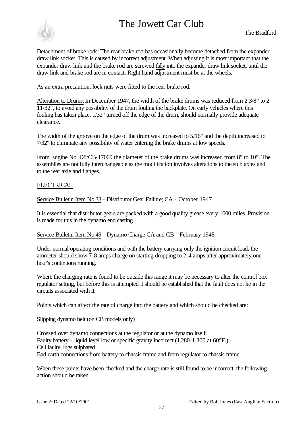

Detachment of brake rods: The rear brake rod has occasionally become detached from the expander draw link socket. This is caused by incorrect adjustment. When adjusting it is most important that the expander draw link and the brake rod are screwed fully into the expander draw link socket, until the draw link and brake rod are in contact. Right hand adjustment must be at the wheels.

As an extra precaution, lock nuts were fitted to the rear brake rod.

Alteration to Drums: In December 1947, the width of the brake drums was reduced from 2 3/8" to 2  $11/32$ ", to avoid any possibility of the drum fouling the backplate. On early vehicles where this fouling has taken place, 1/32" turned off the edge of the drum, should normally provide adequate clearance.

The width of the groove on the edge of the drum was increased to 5/16" and the depth increased to 7/32" to eliminate any possibility of water entering the brake drums at low speeds.

From Engine No. D8/CB-17009 the diameter of the brake drums was increased from 8" to 10". The assemblies are not fully interchangeable as the modification involves alterations to the stub axles and to the rear axle and flanges.

### ELECTRICAL

Service Bulletin Item No.33 - Distributor Gear Failure; CA - October 1947

It is essential that distributor gears are packed with a good quality grease every 1000 miles. Provision is made for this in the dynamo end casting

Service Bulletin Item No.49 - Dynamo Charge CA and CB - February 1948

Under normal operating conditions and with the battery carrying only the ignition circuit load, the ammeter should show 7-8 amps charge on starting dropping to 2-4 amps after approximately one hour's continuous running.

Where the charging rate is found to be outside this range it may be necessary to alter the control box regulator setting, but before this is attempted it should be established that the fault does not lie in the circuits associated with it.

Points which can affect the rate of charge into the battery and which should be checked are:

Slipping dynamo belt (on CB models only)

Crossed over dynamo connections at the regulator or at the dynamo itself. Faulty battery - liquid level low or specific gravity incorrect (1.280-1.300 at 60°F.) Cell faulty: lugs sulphated Bad earth connections from battery to chassis frame and from regulator to chassis frame.

When these points have been checked and the charge rate is still found to be incorrect, the following action should be taken.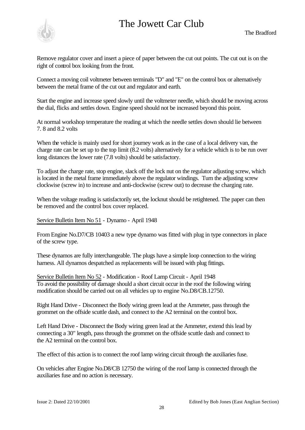Remove regulator cover and insert a piece of paper between the cut out points. The cut out is on the right of control box looking from the front.

Connect a moving coil voltmeter between terminals "D" and "E" on the control box or alternatively between the metal frame of the cut out and regulator and earth.

Start the engine and increase speed slowly until the voltmeter needle, which should be moving across the dial, flicks and settles down. Engine speed should not be increased beyond this point.

At normal workshop temperature the reading at which the needle settles down should lie between 7. 8 and 8.2 volts

When the vehicle is mainly used for short journey work as in the case of a local delivery van, the charge rate can be set up to the top limit (8.2 volts) alternatively for a vehicle which is to be run over long distances the lower rate (7.8 volts) should be satisfactory.

To adjust the charge rate, stop engine, slack off the lock nut on the regulator adjusting screw, which is located in the metal frame immediately above the regulator windings. Turn the adjusting screw clockwise (screw in) to increase and anti-clockwise (screw out) to decrease the charging rate.

When the voltage reading is satisfactorily set, the locknut should be retightened. The paper can then be removed and the control box cover replaced.

Service Bulletin Item No 51 - Dynamo - April 1948

From Engine No.D7/CB 10403 a new type dynamo was fitted with plug in type connectors in place of the screw type.

These dynamos are fully interchangeable. The plugs have a simple loop connection to the wiring harness. All dynamos despatched as replacements will be issued with plug fittings.

Service Bulletin Item No 52 - Modification - Roof Lamp Circuit - April 1948 To avoid the possibility of damage should a short circuit occur in the roof the following wiring modification should be carried out on all vehicles up to engine No.D8/CB.12750.

Right Hand Drive - Disconnect the Body wiring green lead at the Ammeter, pass through the grommet on the offside scuttle dash, and connect to the A2 terminal on the control box.

Left Hand Drive - Disconnect the Body wiring green lead at the Ammeter, extend this lead by connecting a 30" length, pass through the grommet on the offside scuttle dash and connect to the A2 terminal on the control box.

The effect of this action is to connect the roof lamp wiring circuit through the auxiliaries fuse.

On vehicles after Engine No.D8/CB 12750 the wiring of the roof lamp is connected through the auxiliaries fuse and no action is necessary.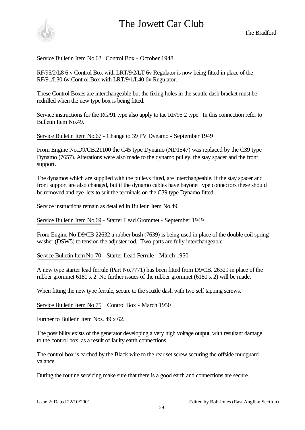



Service Bulletin Item No.62 Control Box - October 1948

RF/95/2/L8 6 v Control Box with LRT/9/2/LT 6v Regulator is now being fitted in place of the RF/91/L30 6v Control Box with LRT/9/1/L40 6v Regulator.

These Control Boxes are interchangeable but the fixing holes in the scuttle dash bracket must be redrilled when the new type box is being fitted.

Service instructions for the RG/91 type also apply to tae RF/95 2 type. In this connection refer to Bulletin Item No.49.

Service Bulletin Item No.67 - Change to 39 PV Dynamo - September 1949

From Engine No.D9/CB.21100 the C45 type Dynamo (ND1547) was replaced by the C39 type Dynamo (7657). Alterations were also made to the dynamo pulley, the stay spacer and the front support.

The dynamos which are supplied with the pulleys fitted, are interchangeable. If the stay spacer and front support are also changed, but if the dynamo cables have bayonet type connectors these should be removed and eye-lets to suit the terminals on the C39 type Dynamo fitted.

Service instructions remain as detailed in Bulletin Item No.49.

Service Bulletin Item No.69 - Starter Lead Grommet - September 1949

From Engine No D9/CB 22632 a rubber bush (7639) is being used in place of the double coil spring washer (DSW5) to tension the adjuster rod. Two parts are fully interchangeable.

Service Bulletin ItemNo 70 - Starter Lead Ferrule - March 1950

A new type starter lead ferrule (Part No.7771) has been fitted from D9/CB. 26329 in place of the rubber grommet 6180 x 2. No further issues of the rubber grommet (6180 x 2) will be made.

When fitting the new type ferrule, secure to the scuttle dash with two self tapping screws.

Service Bulletin Item No 75 Control Box - March 1950

Further to Bulletin Item Nos. 49 x 62.

The possibility exists of the generator developing a very high voltage output, with resultant damage to the control box, as a result of faulty earth connections.

The control box is earthed by the Black wire to the rear set screw securing the offside mudguard valance.

During the routine servicing make sure that there is a good earth and connections are secure.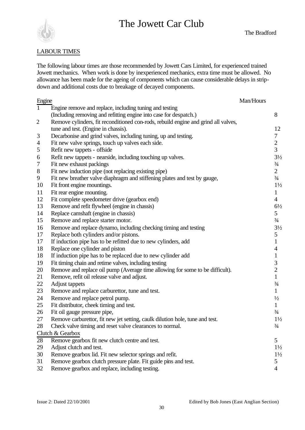

#### LABOUR TIMES

The following labour times are those recommended by Jowett Cars Limited, for experienced trained Jowett mechanics. When work is done by inexperienced mechanics, extra time must be allowed. No allowance has been made for the ageing of components which can cause considerable delays in stripdown and additional costs due to breakage of decayed components.

| Engine         |                                                                                    | Man/Hours |                |
|----------------|------------------------------------------------------------------------------------|-----------|----------------|
| $\mathbf{1}$   | Engine remove and replace, including tuning and testing                            |           |                |
|                | (Including removing and refitting engine into case for despatch.)                  |           | 8              |
| $\overline{2}$ | Remove cylinders, fit reconditioned con-rods, rebuild engine and grind all valves, |           |                |
|                | tune and test. (Engine in chassis).                                                |           | 12             |
| 3              | Decarbonise and grind valves, including tuning, up and testing.                    |           | $\tau$         |
| $\overline{4}$ | Fit new valve springs, touch up valves each side.                                  |           | $\overline{2}$ |
| 5              | Refit new tappets - offside                                                        |           | 3              |
| 6              | Refit new tappets - nearside, including touching up valves.                        |           | $3\frac{1}{2}$ |
| $\tau$         | Fit new exhaust packings                                                           |           | $\frac{3}{4}$  |
| $8\,$          | Fit new induction pipe (not replacing existing pipe)                               |           | $\overline{2}$ |
| 9              | Fit new breather valve diaphragm and stiffening plates and test by gauge,          |           | $\frac{3}{4}$  |
| 10             | Fit front engine mountings.                                                        |           | $1\frac{1}{2}$ |
| 11             | Fit rear engine mounting.                                                          |           | $\mathbf{1}$   |
| 12             | Fit complete speedometer drive (gearbox end)                                       |           | $\overline{4}$ |
| 13             | Remove and refit flywheel (engine in chassis)                                      |           | $6\frac{1}{2}$ |
| 14             | Replace camshaft (engine in chassis)                                               |           | 5              |
| 15             | Remove and replace starter motor.                                                  |           | $\frac{3}{4}$  |
| 16             | Remove and replace dynamo, including checking timing and testing                   |           | $3\frac{1}{2}$ |
| 17             | Replace both cylinders and/or pistons.                                             |           | 5              |
| 17             | If induction pipe has to be refitted due to new cylinders, add                     |           | $\mathbf{1}$   |
| 18             | Replace one cylinder and piston                                                    |           | 4              |
| 18             | If induction pipe has to be replaced due to new cylinder add                       |           | $\mathbf{1}$   |
| 19             | Fit timing chain and retime valves, including testing                              |           | 3              |
| 20             | Remove and replace oil pump (Average time allowing for some to be difficult).      |           | $\overline{c}$ |
| 21             | Remove, refit oil release valve and adjust.                                        |           | $\mathbf{1}$   |
| 22             | Adjust tappets                                                                     |           | $\frac{3}{4}$  |
| 23             | Remove and replace carburettor, tune and test.                                     |           | $\mathbf{1}$   |
| 24             | Remove and replace petrol pump.                                                    |           | $\frac{1}{2}$  |
| 25             | Fit distributor, cheek timing and test.                                            |           | $\mathbf{1}$   |
| 26             | Fit oil gauge pressure pipe,                                                       |           | $\frac{3}{4}$  |
| 27             | Remove carburettor, fit new jet setting, caulk dilution hole, tune and test.       |           | $1\frac{1}{2}$ |
| 28             | Check valve timing and reset valve clearances to normal.                           |           | $\frac{3}{4}$  |
|                | Clutch & Gearbox                                                                   |           |                |
| 28             | Remove gearbox fit new clutch centre and test.                                     |           | 5              |
| 29             | Adjust clutch and test.                                                            |           | $1\frac{1}{2}$ |
| 30             | Remove gearbox lid. Fit new selector springs and refit.                            |           | $1\frac{1}{2}$ |
| 31             | Remove gearbox clutch pressure plate. Fit guide pins and test.                     |           | 5              |
| 32             | Remove gearbox and replace, including testing.                                     |           | 4              |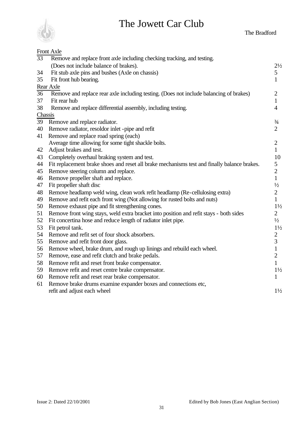



| Front Axle                                                                             |                                                                                                                                                                                                                                                                                                                                                                                                                                                                                                                                                                                                                                                                                                                                                                                                                                                                                                                                                                                                                                                                                                                                                                                                                                 |
|----------------------------------------------------------------------------------------|---------------------------------------------------------------------------------------------------------------------------------------------------------------------------------------------------------------------------------------------------------------------------------------------------------------------------------------------------------------------------------------------------------------------------------------------------------------------------------------------------------------------------------------------------------------------------------------------------------------------------------------------------------------------------------------------------------------------------------------------------------------------------------------------------------------------------------------------------------------------------------------------------------------------------------------------------------------------------------------------------------------------------------------------------------------------------------------------------------------------------------------------------------------------------------------------------------------------------------|
| Remove and replace front axle including checking tracking, and testing.                |                                                                                                                                                                                                                                                                                                                                                                                                                                                                                                                                                                                                                                                                                                                                                                                                                                                                                                                                                                                                                                                                                                                                                                                                                                 |
| (Does not include balance of brakes).                                                  | $2\frac{1}{2}$                                                                                                                                                                                                                                                                                                                                                                                                                                                                                                                                                                                                                                                                                                                                                                                                                                                                                                                                                                                                                                                                                                                                                                                                                  |
| Fit stub axle pins and bushes (Axle on chassis)                                        | 5                                                                                                                                                                                                                                                                                                                                                                                                                                                                                                                                                                                                                                                                                                                                                                                                                                                                                                                                                                                                                                                                                                                                                                                                                               |
| Fit front hub bearing.                                                                 | $\mathbf{1}$                                                                                                                                                                                                                                                                                                                                                                                                                                                                                                                                                                                                                                                                                                                                                                                                                                                                                                                                                                                                                                                                                                                                                                                                                    |
| Rear Axle                                                                              |                                                                                                                                                                                                                                                                                                                                                                                                                                                                                                                                                                                                                                                                                                                                                                                                                                                                                                                                                                                                                                                                                                                                                                                                                                 |
| Remove and replace rear axle including testing. (Does not include balancing of brakes) | $\overline{2}$                                                                                                                                                                                                                                                                                                                                                                                                                                                                                                                                                                                                                                                                                                                                                                                                                                                                                                                                                                                                                                                                                                                                                                                                                  |
| Fit rear hub                                                                           | 1                                                                                                                                                                                                                                                                                                                                                                                                                                                                                                                                                                                                                                                                                                                                                                                                                                                                                                                                                                                                                                                                                                                                                                                                                               |
| Remove and replace differential assembly, including testing.                           | $\overline{4}$                                                                                                                                                                                                                                                                                                                                                                                                                                                                                                                                                                                                                                                                                                                                                                                                                                                                                                                                                                                                                                                                                                                                                                                                                  |
|                                                                                        |                                                                                                                                                                                                                                                                                                                                                                                                                                                                                                                                                                                                                                                                                                                                                                                                                                                                                                                                                                                                                                                                                                                                                                                                                                 |
| Remove and replace radiator.                                                           | $\frac{3}{4}$                                                                                                                                                                                                                                                                                                                                                                                                                                                                                                                                                                                                                                                                                                                                                                                                                                                                                                                                                                                                                                                                                                                                                                                                                   |
| Remove radiator, resoldor inlet -pipe and refit                                        | $\overline{2}$                                                                                                                                                                                                                                                                                                                                                                                                                                                                                                                                                                                                                                                                                                                                                                                                                                                                                                                                                                                                                                                                                                                                                                                                                  |
| Remove and replace road spring (each)                                                  |                                                                                                                                                                                                                                                                                                                                                                                                                                                                                                                                                                                                                                                                                                                                                                                                                                                                                                                                                                                                                                                                                                                                                                                                                                 |
|                                                                                        | $\overline{2}$                                                                                                                                                                                                                                                                                                                                                                                                                                                                                                                                                                                                                                                                                                                                                                                                                                                                                                                                                                                                                                                                                                                                                                                                                  |
|                                                                                        | $\mathbf{1}$                                                                                                                                                                                                                                                                                                                                                                                                                                                                                                                                                                                                                                                                                                                                                                                                                                                                                                                                                                                                                                                                                                                                                                                                                    |
|                                                                                        | 10                                                                                                                                                                                                                                                                                                                                                                                                                                                                                                                                                                                                                                                                                                                                                                                                                                                                                                                                                                                                                                                                                                                                                                                                                              |
|                                                                                        | 5                                                                                                                                                                                                                                                                                                                                                                                                                                                                                                                                                                                                                                                                                                                                                                                                                                                                                                                                                                                                                                                                                                                                                                                                                               |
|                                                                                        | $\overline{2}$                                                                                                                                                                                                                                                                                                                                                                                                                                                                                                                                                                                                                                                                                                                                                                                                                                                                                                                                                                                                                                                                                                                                                                                                                  |
|                                                                                        | $\mathbf{1}$                                                                                                                                                                                                                                                                                                                                                                                                                                                                                                                                                                                                                                                                                                                                                                                                                                                                                                                                                                                                                                                                                                                                                                                                                    |
|                                                                                        | $\frac{1}{2}$                                                                                                                                                                                                                                                                                                                                                                                                                                                                                                                                                                                                                                                                                                                                                                                                                                                                                                                                                                                                                                                                                                                                                                                                                   |
|                                                                                        | $\overline{2}$                                                                                                                                                                                                                                                                                                                                                                                                                                                                                                                                                                                                                                                                                                                                                                                                                                                                                                                                                                                                                                                                                                                                                                                                                  |
|                                                                                        | $\mathbf{1}$                                                                                                                                                                                                                                                                                                                                                                                                                                                                                                                                                                                                                                                                                                                                                                                                                                                                                                                                                                                                                                                                                                                                                                                                                    |
|                                                                                        | $1\frac{1}{2}$                                                                                                                                                                                                                                                                                                                                                                                                                                                                                                                                                                                                                                                                                                                                                                                                                                                                                                                                                                                                                                                                                                                                                                                                                  |
|                                                                                        | $\overline{2}$                                                                                                                                                                                                                                                                                                                                                                                                                                                                                                                                                                                                                                                                                                                                                                                                                                                                                                                                                                                                                                                                                                                                                                                                                  |
|                                                                                        | $\frac{1}{2}$                                                                                                                                                                                                                                                                                                                                                                                                                                                                                                                                                                                                                                                                                                                                                                                                                                                                                                                                                                                                                                                                                                                                                                                                                   |
|                                                                                        | $1\frac{1}{2}$                                                                                                                                                                                                                                                                                                                                                                                                                                                                                                                                                                                                                                                                                                                                                                                                                                                                                                                                                                                                                                                                                                                                                                                                                  |
|                                                                                        | $\overline{c}$                                                                                                                                                                                                                                                                                                                                                                                                                                                                                                                                                                                                                                                                                                                                                                                                                                                                                                                                                                                                                                                                                                                                                                                                                  |
|                                                                                        | $\overline{3}$                                                                                                                                                                                                                                                                                                                                                                                                                                                                                                                                                                                                                                                                                                                                                                                                                                                                                                                                                                                                                                                                                                                                                                                                                  |
|                                                                                        | $\mathbf{1}$                                                                                                                                                                                                                                                                                                                                                                                                                                                                                                                                                                                                                                                                                                                                                                                                                                                                                                                                                                                                                                                                                                                                                                                                                    |
|                                                                                        | $\overline{2}$                                                                                                                                                                                                                                                                                                                                                                                                                                                                                                                                                                                                                                                                                                                                                                                                                                                                                                                                                                                                                                                                                                                                                                                                                  |
|                                                                                        | $\mathbf{1}$                                                                                                                                                                                                                                                                                                                                                                                                                                                                                                                                                                                                                                                                                                                                                                                                                                                                                                                                                                                                                                                                                                                                                                                                                    |
|                                                                                        | $1\frac{1}{2}$                                                                                                                                                                                                                                                                                                                                                                                                                                                                                                                                                                                                                                                                                                                                                                                                                                                                                                                                                                                                                                                                                                                                                                                                                  |
|                                                                                        | 1                                                                                                                                                                                                                                                                                                                                                                                                                                                                                                                                                                                                                                                                                                                                                                                                                                                                                                                                                                                                                                                                                                                                                                                                                               |
|                                                                                        |                                                                                                                                                                                                                                                                                                                                                                                                                                                                                                                                                                                                                                                                                                                                                                                                                                                                                                                                                                                                                                                                                                                                                                                                                                 |
|                                                                                        | $1\frac{1}{2}$                                                                                                                                                                                                                                                                                                                                                                                                                                                                                                                                                                                                                                                                                                                                                                                                                                                                                                                                                                                                                                                                                                                                                                                                                  |
|                                                                                        | Chassis<br>Average time allowing for some tight shackle bolts.<br>Adjust brakes and test.<br>Completely overhaul braking system and test.<br>Fit replacement brake shoes and reset all brake mechanisms test and finally balance brakes.<br>Remove steering column and replace.<br>Remove propeller shaft and replace.<br>Fit propeller shaft disc<br>Remove headlamp weld wing, clean work refit headlamp (Re-cellulosing extra)<br>Remove and refit each front wing (Not allowing for rusted bolts and nuts)<br>Remove exhaust pipe and fit strengthening cones.<br>Remove front wing stays, weld extra bracket into position and refit stays - both sides<br>Fit concertina hose and reduce length of radiator inlet pipe.<br>Fit petrol tank.<br>Remove and refit set of four shock absorbers.<br>Remove and refit front door glass.<br>Remove wheel, brake drum, and rough up linings and rebuild each wheel.<br>Remove, ease and refit clutch and brake pedals.<br>Remove refit and reset front brake compensator.<br>Remove refit and reset centre brake compensator.<br>Remove refit and reset rear brake compensator.<br>Remove brake drums examine expander boxes and connections etc,<br>refit and adjust each wheel |